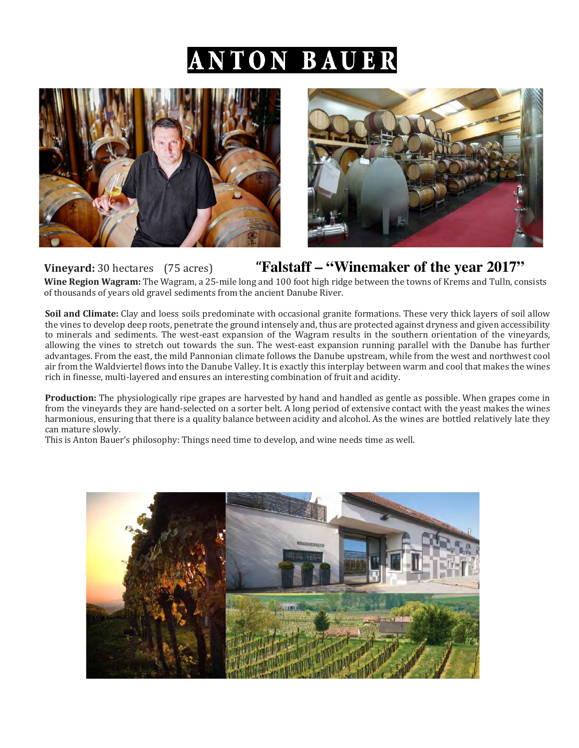# NTON BAUER





## **Vineyard:** 30 hectares (75 acres) **Tralstaff – "Winemaker of the year 2017" Wine Region Wagram:** The Wagram, a 25-mile long and 100 foot high ridge between the towns of Krems and Tulln, consists

of thousands of years old gravel sediments from the ancient Danube River.

**Soil and Climate:** Clay and loess soils predominate with occasional granite formations. These very thick layers of soil allow the vines to develop deep roots, penetrate the ground intensely and, thus are protected against dryness and given accessibility to minerals and sediments. The west-east expansion of the Wagram results in the southern orientation of the vineyards, allowing the vines to stretch out towards the sun. The west-east expansion running parallel with the Danube has further advantages. From the east, the mild Pannonian climate follows the Danube upstream, while from the west and northwest cool air from the Waldviertel flows into the Danube Valley. It is exactly this interplay between warm and cool that makes the wines rich in finesse, multi-layered and ensures an interesting combination of fruit and acidity.

**Production:** The physiologically ripe grapes are harvested by hand and handled as gentle as possible. When grapes come in from the vineyards they are hand-selected on a sorter belt. A long period of extensive contact with the yeast makes the wines harmonious, ensuring that there is a quality balance between acidity and alcohol. As the wines are bottled relatively late they can mature slowly. 

This is Anton Bauer's philosophy: Things need time to develop, and wine needs time as well.

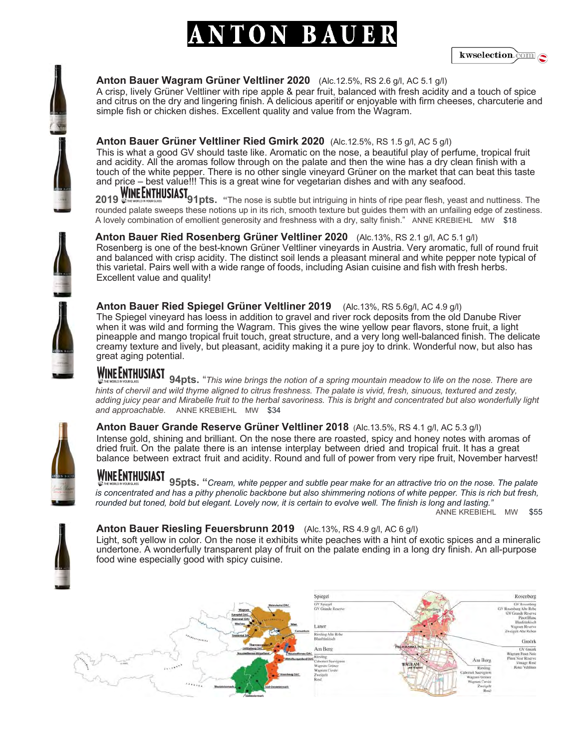# TON BAUE



## **Anton Bauer Wagram Grüner Veltliner 2020** (Alc.12.5%, RS 2.6 g/l, AC 5.1 g/l)

A crisp, lively Grüner Veltliner with ripe apple & pear fruit, balanced with fresh acidity and a touch of spice and citrus on the dry and lingering finish. A delicious aperitif or enjoyable with firm cheeses, charcuterie and simple fish or chicken dishes. Excellent quality and value from the Wagram.

## **Anton Bauer Grüner Veltliner Ried Gmirk 2020** (Alc.12.5%, RS 1.5 g/l, AC 5 g/l)

This is what a good GV should taste like. Aromatic on the nose, a beautiful play of perfume, tropical fruit and acidity. All the aromas follow through on the palate and then the wine has a dry clean finish with a touch of the white pepper. There is no other single vineyard Grüner on the market that can beat this taste and price – best value!!! This is a great wine for vegetarian dishes and with any seafood.

**2019 WINE ENTHUSIAST**<br>**2019 WINE ENTHUSIAST** 91pts. "The nose is subtle but intriguing in hints of ripe pear flesh, yeast and nuttiness. The rounded palate sweeps these notions up in its rich, smooth texture but guides them with an unfailing edge of zestiness. A lovely combination of emollient generosity and freshness with a dry, salty finish." ANNE KREBIEHL MW \$18

**Anton Bauer Ried Rosenberg Grüner Veltliner 2020** (Alc.13%, RS 2.1 g/l, AC 5.1 g/l) Rosenberg is one of the best-known Grüner Veltliner vineyards in Austria. Very aromatic, full of round fruit and balanced with crisp acidity. The distinct soil lends a pleasant mineral and white pepper note typical of this varietal. Pairs well with a wide range of foods, including Asian cuisine and fish with fresh herbs. Excellent value and quality!

## **Anton Bauer Ried Spiegel Grüner Veltliner 2019** (Alc.13%, RS 5.6g/l, AC 4.9 g/l)

The Spiegel vineyard has loess in addition to gravel and river rock deposits from the old Danube River when it was wild and forming the Wagram. This gives the wine yellow pear flavors, stone fruit, a light pineapple and mango tropical fruit touch, great structure, and a very long well-balanced finish. The delicate creamy texture and lively, but pleasant, acidity making it a pure joy to drink. Wonderful now, but also has great aging potential.

**WINE ENTHUSIAST** 94pts. "*This wine brings the notion of a spring mountain meadow to life on the nose. There are are are are are are are are are are are are are are are are are are are are are are as and z hints of chervil and wild thyme aligned to citrus freshness. The palate is vivid, fresh, sinuous, textured and zesty, adding juicy pear and Mirabelle fruit to the herbal savoriness. This is bright and concentrated but also wonderfully light and approachable.* ANNE KREBIEHL MW \$34

## **Anton Bauer Grande Reserve Grüner Veltliner 2018** (Alc.13.5%, RS 4.1 g/l, AC 5.3 g/l)

Intense gold, shining and brilliant. On the nose there are roasted, spicy and honey notes with aromas of dried fruit. On the palate there is an intense interplay between dried and tropical fruit. It has a great balance between extract fruit and acidity. Round and full of power from very ripe fruit, November harvest!

**WINE ENTHUSIAST** 95pts. "*Cream, white pepper and subtle pear make for an attractive trio on the nose. The palate is concentrated and has a pithy phenolic backbone but also shimmering notions of white pepper. This is rich but fresh, rounded but toned, bold but elegant. Lovely now, it is certain to evolve well. The finish is long and lasting."*

ANNE KREBIEHL MW \$55



### **Anton Bauer Riesling Feuersbrunn 2019** (Alc.13%, RS 4.9 g/l, AC 6 g/l)

Light, soft yellow in color. On the nose it exhibits white peaches with a hint of exotic spices and a mineralic undertone. A wonderfully transparent play of fruit on the palate ending in a long dry finish. An all-purpose food wine especially good with spicy cuisine.









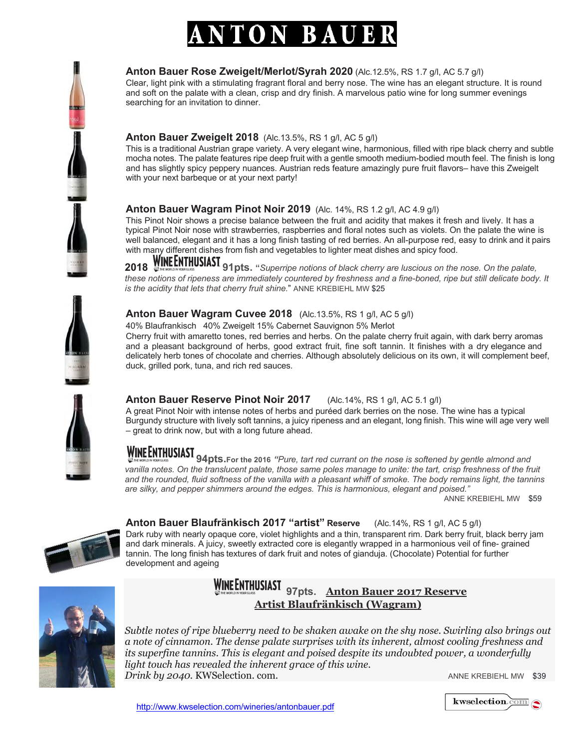# TON BAUE

## **Anton Bauer Rose Zweigelt/Merlot/Syrah 2020** (Alc.12.5%, RS 1.7 g/l, AC 5.7 g/l)

Clear, light pink with a stimulating fragrant floral and berry nose. The wine has an elegant structure. It is round and soft on the palate with a clean, crisp and dry finish. A marvelous patio wine for long summer evenings searching for an invitation to dinner.

## **Anton Bauer Zweigelt 2018** (Alc.13.5%, RS 1 g/l, AC 5 g/l)

This is a traditional Austrian grape variety. A very elegant wine, harmonious, filled with ripe black cherry and subtle mocha notes. The palate features ripe deep fruit with a gentle smooth medium-bodied mouth feel. The finish is long and has slightly spicy peppery nuances. Austrian reds feature amazingly pure fruit flavors– have this Zweigelt with your next barbeque or at your next party!

## **Anton Bauer Wagram Pinot Noir 2019** (Alc. 14%, RS 1.2 g/l, AC 4.9 g/l)

This Pinot Noir shows a precise balance between the fruit and acidity that makes it fresh and lively. It has a typical Pinot Noir nose with strawberries, raspberries and floral notes such as violets. On the palate the wine is well balanced, elegant and it has a long finish tasting of red berries. An all-purpose red, easy to drink and it pairs with many different dishes from fish and vegetables to lighter meat dishes and spicy food.

**2018 91pts. "***Superripe notions of black cherry are luscious on the nose. On the palate,*  these notions of ripeness are immediately countered by freshness and a fine-boned, ripe but still delicate body. It *is the acidity that lets that cherry fruit shine.*" ANNE KREBIEHL MW \$25



## **Anton Bauer Wagram Cuvee 2018** (Alc.13.5%, RS 1 g/l, AC 5 g/l)

40% Blaufrankisch 40% Zweigelt 15% Cabernet Sauvignon 5% Merlot

Cherry fruit with amaretto tones, red berries and herbs. On the palate cherry fruit again, with dark berry aromas and a pleasant background of herbs, good extract fruit, fine soft tannin. It finishes with a dry elegance and delicately herb tones of chocolate and cherries. Although absolutely delicious on its own, it will complement beef, duck, grilled pork, tuna, and rich red sauces.



## **Anton Bauer Reserve Pinot Noir 2017** (Alc.14%, RS 1 g/l, AC 5.1 g/l)

A great Pinot Noir with intense notes of herbs and puréed dark berries on the nose. The wine has a typical Burgundy structure with lively soft tannins, a juicy ripeness and an elegant, long finish. This wine will age very well – great to drink now, but with a long future ahead.

**94pts.For the 2016** *"Pure, tart red currant on the nose is softened by gentle almond and*  vanilla notes. On the translucent palate, those same poles manage to unite: the tart, crisp freshness of the fruit and the rounded, fluid softness of the vanilla with a pleasant whiff of smoke. The body remains light, the tannins *are silky, and pepper shimmers around the edges. This is harmonious, elegant and poised."* 

ANNE KREBIEHL MW \$59



**Anton Bauer Blaufränkisch 2017 "artist" Reserve** (Alc.14%, RS 1 g/l, AC 5 g/l) Dark ruby with nearly opaque core, violet highlights and a thin, transparent rim. Dark berry fruit, black berry jam and dark minerals. A juicy, sweetly extracted core is elegantly wrapped in a harmonious veil of fine- grained tannin. The long finish has textures of dark fruit and notes of gianduja. (Chocolate) Potential for further development and ageing



 **97pts. Anton Bauer 2017 Reserve Artist Blaufränkisch (Wagram)**

*Subtle notes of ripe blueberry need to be shaken awake on the shy nose. Swirling also brings out a note of cinnamon. The dense palate surprises with its inherent, almost cooling freshness and its superfine tannins. This is elegant and poised despite its undoubted power, a wonderfully light touch has revealed the inherent grace of this wine. Drink by 2040*. KWSelection. com. ANNE KREBIEHL MW \$39

 $kwslection.\overline{com}$